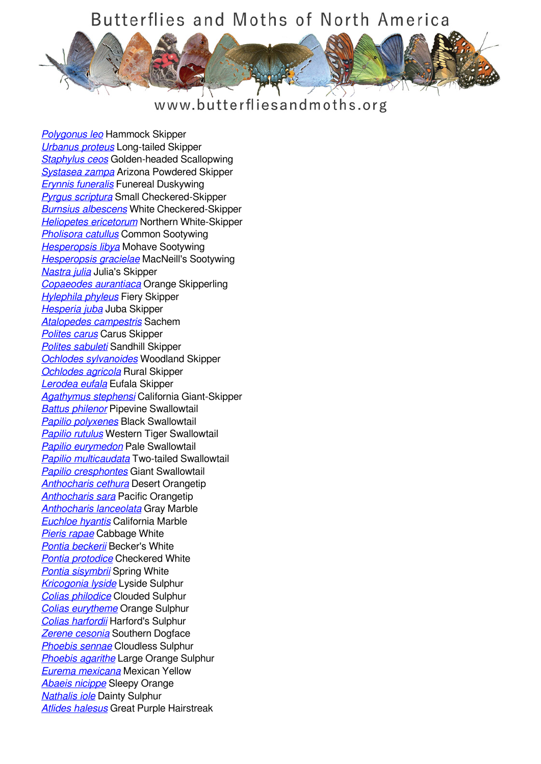## Butterflies and Moths of North America



## www.butterfliesandmoths.org

*[Polygonus leo](/species/Polygonus-leo)* Hammock Skipper *[Urbanus proteus](/species/Urbanus-proteus)* Long-tailed Skipper *[Staphylus ceos](/species/Staphylus-ceos)* Golden-headed Scallopwing *[Systasea zampa](/species/Systasea-zampa)* Arizona Powdered Skipper *[Erynnis funeralis](/species/Erynnis-funeralis)* Funereal Duskywing *[Pyrgus scriptura](/species/Pyrgus-scriptura)* Small Checkered-Skipper *[Burnsius albescens](/species/Pyrgus-albescens)* White Checkered-Skipper *[Heliopetes ericetorum](/species/Heliopetes-ericetorum)* Northern White-Skipper *[Pholisora catullus](/species/Pholisora-catullus)* Common Sootywing *[Hesperopsis libya](/species/Hesperopsis-libya)* Mohave Sootywing *[Hesperopsis gracielae](/species/Hesperopsis-gracielae)* MacNeill's Sootywing *[Nastra julia](/species/Nastra-julia)* Julia's Skipper *[Copaeodes aurantiaca](/species/Copaeodes-aurantiaca)* Orange Skipperling *[Hylephila phyleus](/species/Hylephila-phyleus)* Fiery Skipper *[Hesperia juba](/species/Hesperia-juba)* Juba Skipper *[Atalopedes campestris](/species/Atalopedes-campestris)* Sachem *[Polites carus](/species/Polites-carus)* Carus Skipper *[Polites sabuleti](/species/Polites-sabuleti)* Sandhill Skipper *[Ochlodes sylvanoides](/species/Ochlodes-sylvanoides)* Woodland Skipper *[Ochlodes agricola](/species/Ochlodes-agricola)* Rural Skipper *[Lerodea eufala](/species/Lerodea-eufala)* Eufala Skipper *[Agathymus stephensi](/species/Agathymus-stephensi)* California Giant-Skipper *[Battus philenor](/species/Battus-philenor)* Pipevine Swallowtail *[Papilio polyxenes](/species/Papilio-polyxenes)* Black Swallowtail *[Papilio rutulus](/species/Papilio-rutulus)* Western Tiger Swallowtail *[Papilio eurymedon](/species/Papilio-eurymedon)* Pale Swallowtail *[Papilio multicaudata](/species/Papilio-multicaudata)* Two-tailed Swallowtail *[Papilio cresphontes](/species/Papilio-cresphontes)* Giant Swallowtail *[Anthocharis cethura](/species/Anthocharis-cethura)* Desert Orangetip *[Anthocharis sara](/species/Anthocharis-sara)* Pacific Orangetip *[Anthocharis lanceolata](/species/Anthocharis-lanceolata)* Gray Marble *[Euchloe hyantis](/species/Euchloe-hyantis)* California Marble *[Pieris rapae](/species/Pieris-rapae)* Cabbage White *[Pontia beckerii](/species/Pontia-beckerii)* Becker's White *[Pontia protodice](/species/Pontia-protodice)* Checkered White *[Pontia sisymbrii](/species/Pontia-sisymbrii)* Spring White *[Kricogonia lyside](/species/Kricogonia-lyside)* Lyside Sulphur *[Colias philodice](/species/Colias-philodice)* Clouded Sulphur *[Colias eurytheme](/species/Colias-eurytheme)* Orange Sulphur *[Colias harfordii](/species/Colias-harfordii)* Harford's Sulphur *[Zerene cesonia](/species/Zerene-cesonia)* Southern Dogface *[Phoebis sennae](/species/Phoebis-sennae)* Cloudless Sulphur *[Phoebis agarithe](/species/Phoebis-agarithe)* Large Orange Sulphur *[Eurema mexicana](/species/Eurema-mexicana)* Mexican Yellow *[Abaeis nicippe](/species/Abaeis-nicippe)* Sleepy Orange *[Nathalis iole](/species/Nathalis-iole)* Dainty Sulphur *[Atlides halesus](/species/Atlides-halesus)* Great Purple Hairstreak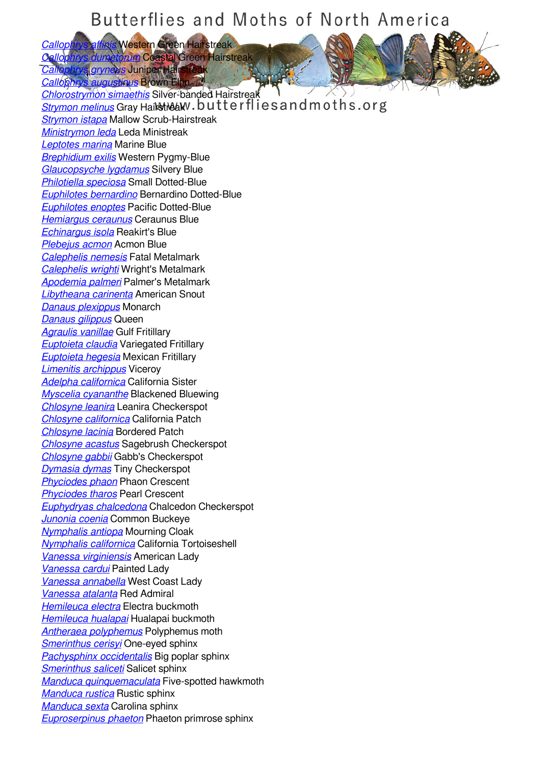## Butterflies and Moths of North America

*[Callophrys affinis](/species/Callophrys-affinis)* Western Green Hairstreak *[Callophrys dumetorum](/species/Callophrys-dumetorum)* Coastal Green Hairstreak

*Calicphrys grynews* Juniper Hairstreak<br>Callophrys augusticus Brown Eltin *<u>hrys augustinus</u>* **Brown Elfin** 

*[Chlorostrymon simaethis](/species/Chlorostrymon-simaethis)* Silver-banded Hairstreak *[Strymon melinus](/species/Strymon-melinus)* Gray Hairstreaky . butterflies and moths.org *[Strymon istapa](/species/Strymon-istapa)* Mallow Scrub-Hairstreak *[Ministrymon leda](/species/Ministrymon-leda)* Leda Ministreak *[Leptotes marina](/species/Leptotes-marina)* Marine Blue *[Brephidium exilis](/species/Brephidium-exilis)* Western Pygmy-Blue *[Glaucopsyche lygdamus](/species/Glaucopsyche-lygdamus)* Silvery Blue *[Philotiella speciosa](/species/Philotiella-speciosa)* Small Dotted-Blue *[Euphilotes bernardino](/species/Euphilotes-bernardino)* Bernardino Dotted-Blue *[Euphilotes enoptes](/species/Euphilotes-enoptes)* Pacific Dotted-Blue *[Hemiargus ceraunus](/species/Hemiargus-ceraunus)* Ceraunus Blue *[Echinargus isola](/species/Echinargus-isola)* Reakirt's Blue *[Plebejus acmon](/species/Plebejus-acmon)* Acmon Blue *[Calephelis nemesis](/species/Calephelis-nemesis)* Fatal Metalmark *[Calephelis wrighti](/species/Calephelis-wrighti)* Wright's Metalmark *[Apodemia palmeri](/species/Apodemia-palmeri)* Palmer's Metalmark *[Libytheana carinenta](/species/Libytheana-carinenta)* American Snout *[Danaus plexippus](/species/Danaus-plexippus)* Monarch *[Danaus gilippus](/species/Danaus-gilippus)* Queen *[Agraulis vanillae](/species/Agraulis-vanillae)* Gulf Fritillary *[Euptoieta claudia](/species/Euptoieta-claudia)* Variegated Fritillary *[Euptoieta hegesia](/species/Euptoieta-hegesia)* Mexican Fritillary *[Limenitis archippus](/species/Limenitis-archippus)* Viceroy *[Adelpha californica](/species/Adelpha-californica)* California Sister *[Myscelia cyananthe](/species/Myscelia-cyananthe)* Blackened Bluewing *[Chlosyne leanira](/species/Chlosyne-leanira)* Leanira Checkerspot *[Chlosyne californica](/species/Chlosyne-californica)* California Patch *[Chlosyne lacinia](/species/Chlosyne-lacinia)* Bordered Patch *[Chlosyne acastus](/species/Chlosyne-acastus)* Sagebrush Checkerspot *[Chlosyne gabbii](/species/Chlosyne-gabbii)* Gabb's Checkerspot *[Dymasia dymas](/species/Dymasia-dymas)* Tiny Checkerspot *[Phyciodes phaon](/species/Phyciodes-phaon)* Phaon Crescent *[Phyciodes tharos](/species/Phyciodes-tharos)* Pearl Crescent *[Euphydryas chalcedona](/species/Euphydryas-chalcedona)* Chalcedon Checkerspot *[Junonia coenia](/species/Junonia-coenia)* Common Buckeye *[Nymphalis antiopa](/species/Nymphalis-antiopa)* Mourning Cloak *[Nymphalis californica](/species/Nymphalis-californica)* California Tortoiseshell *[Vanessa virginiensis](/species/Vanessa-virginiensis)* American Lady *[Vanessa cardui](/species/Vanessa-cardui)* Painted Lady *[Vanessa annabella](/species/Vanessa-annabella)* West Coast Lady *[Vanessa atalanta](/species/Vanessa-atalanta)* Red Admiral *[Hemileuca electra](/species/Hemileuca-electra)* Electra buckmoth *[Hemileuca hualapai](/species/Hemileuca-hualapai)* Hualapai buckmoth *[Antheraea polyphemus](/species/Antheraea-polyphemus)* Polyphemus moth *[Smerinthus cerisyi](/species/Smerinthus-cerisyi)* One-eyed sphinx *[Pachysphinx occidentalis](/species/Pachysphinx-occidentalis)* Big poplar sphinx *[Smerinthus saliceti](/species/Smerinthus-saliceti)* Salicet sphinx *[Manduca quinquemaculata](/species/Manduca-quinquemaculata)* Five-spotted hawkmoth *[Manduca rustica](/species/Manduca-rustica)* Rustic sphinx *[Manduca sexta](/species/Manduca-sexta)* Carolina sphinx *[Euproserpinus phaeton](/species/Euproserpinus-phaeton)* Phaeton primrose sphinx